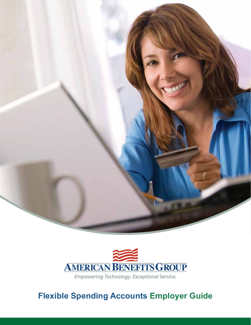



**Flexible Spending Accounts Employer Guide**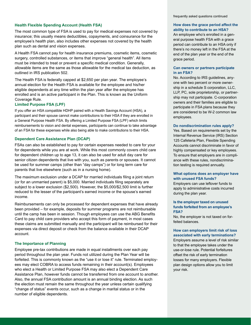## **Health Flexible Spending Account (Health FSA)**

The most common type of FSA is used to pay for medical expenses not covered by insurance; this usually means deductibles, copayments, and coinsurance for the employee's health plan, also includes other expenses not covered by the health plan such as dental and vision expenses.

A Health FSA cannot pay for health insurance premiums, cosmetic items, cosmetic surgery, controlled substances, or items that improve "general health". All items must be intended to treat or prevent a specific medical condition. Generally, allowable items are the same as those allowable for the medical tax deduction, as outlined in IRS publication 502.

The Health FSA is federally capped at \$2,650 per plan year. The employee's annual election for the Health FSA is available for the employee and his/her eligible dependents at any time within the plan year after the employee has enrolled and is an active participant in the Plan. This is known as the Uniform Coverage Rule.

## **Limited Purpose FSA (LPF)**

If you offer an HSA compatible HDHP paired with a Health Savings Account (HSA), a participant and their spouse cannot make contributions to their HSA if they are enrolled in a General Purpose Health FSA. By offering a Limited Purpose FSA (LPF) which limits reimbursements to vision and dental expenses, participants can continue to take advantage of an FSA for these expenses while also being able to make contributions to their HSA.

### **Dependent Care Assistance Plan (DCAP)**

FSAs can also be established to pay for certain expenses needed to care for your for dependents while you are at work. While this most commonly covers child care for dependent children up to age 13, it can also be used for adult day care for senior citizen dependents that live with you, such as parents or spouses. It cannot be used for summer camps (other than "day camps") or for long term care for parents that live elsewhere (such as in a nursing home).

The maximum exclusion under a DCAP for married individuals filing a joint return (or for an unmarried parent) is \$5,000. Married individuals filing separately are subject to a lower exclusion (\$2,500). However, the \$5,000/\$2,500 limit is further reduced to the lesser of the participant's earned income or the spouse's earned income.

Reimbursements can only be processed for dependent expenses that have already been provided – for example, deposits for summer programs are not reimbursable until the camp has been in session. Though employees can use the ABG Benefits Card to pay child care providers who accept this form of payment, in most cases these claims are submitted manually and the participant will be reimbursed for their expenses via direct deposit or check from the balance available in their DCAP account.

### **The Importance of Planning**

Employee pre-tax contributions are made in equal installments over each pay period throughout the plan year. Funds not utilized during the Plan Year will be forfeited. This is commonly known as the "use it or lose it" rule. Terminated employees may elect COBRA to access funds remaining in their account(s). Employees who elect a Health or Limited Purpose FSA may also elect a Dependent Care Assistance Plan, however funds cannot be transferred from one account to another. Also, the annual FSA contribution amount is an annual binding election. As such the election must remain the same throughout the year unless certain qualifying "change of status" events occur, such as a change in marital status or in the number of eligible dependents.

#### **How does the grace period affect the ability to contribute to an HSA?**

An employee who's enrolled in a general purpose health FSA with a grace period can contribute to an HSA only if there's no money left in the FSA at the end of the plan year or the end of the grace period.

### **Can owners or partners participate in an FSA?**

No. According to IRS guidelines, anyone with two percent or more ownership in a schedule S corporation, LLC, LLP, PC, sole proprietorship, or partnership may not participate. C-corporation owners and their families are eligible to participate in FSA plans because they are considered to be W-2 common law employees.

#### **Do nondiscrimination rules apply?**

Yes. Based on requirements set by the Internal Revenue Service (IRS) Section 125 Cafeteria Plan, Flexible Spending Accounts cannot discriminate in favor of highly compensated or key employees. To ensure that employers are in compliance with these rules, nondiscrimination testing is required annually.

## **What options does an employer have with unused FSA funds?**

Employers can use leftover funds to apply to administrative costs incurred during the plan year.

### **Is the employer taxed on unused funds forfeited from an employee's FSA?**

No, the employer is not taxed on forfeited balances.

#### **How can employers limit risk of loss associated with early terminations?**

Employers assume a level of risk similar to that the employee takes under the use-or-lose rule. Potential forfeitures offset the risk of early termination losses for many employers. Flexible plan design options allow you to limit your risk.